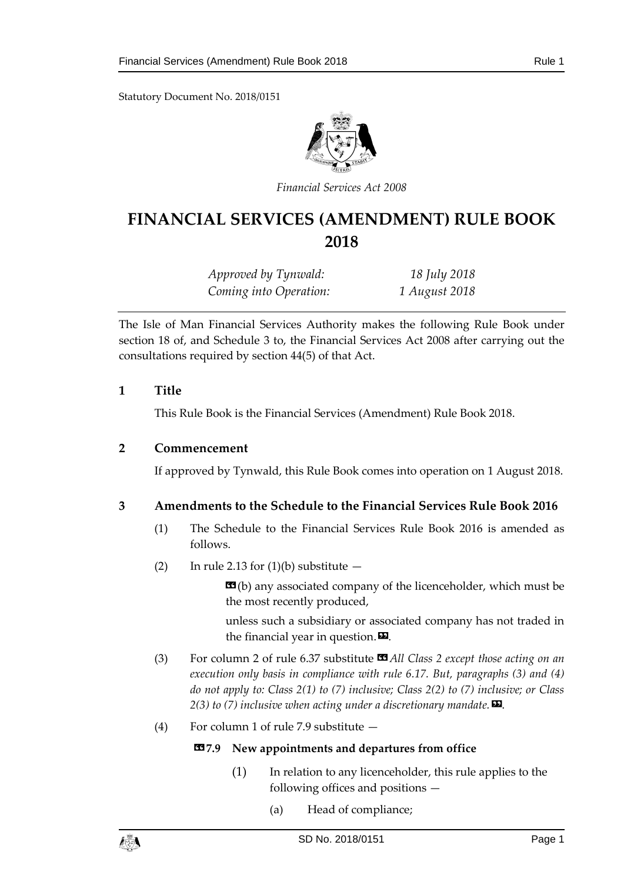Statutory Document No. 2018/0151



*Financial Services Act 2008*

# **FINANCIAL SERVICES (AMENDMENT) RULE BOOK 2018**

| Approved by Tynwald:   | 18 July 2018  |
|------------------------|---------------|
| Coming into Operation: | 1 August 2018 |

The Isle of Man Financial Services Authority makes the following Rule Book under section 18 of, and Schedule 3 to, the Financial Services Act 2008 after carrying out the consultations required by section 44(5) of that Act.

#### **1 Title**

This Rule Book is the Financial Services (Amendment) Rule Book 2018.

#### **2 Commencement**

If approved by Tynwald, this Rule Book comes into operation on 1 August 2018.

## **3 Amendments to the Schedule to the Financial Services Rule Book 2016**

- (1) The Schedule to the Financial Services Rule Book 2016 is amended as follows.
- (2) In rule 2.13 for  $(1)(b)$  substitute  $-$

**E9**(b) any associated company of the licenceholder, which must be the most recently produced,

unless such a subsidiary or associated company has not traded in the financial year in question. $\boldsymbol{\mathsf{E}}$ .

- (3) For column 2 of rule 6.37 substitute **II** All Class 2 except those acting on an *execution only basis in compliance with rule 6.17. But, paragraphs (3) and (4) do not apply to: Class 2(1) to (7) inclusive; Class 2(2) to (7) inclusive; or Class*  2(3) to (7) inclusive when acting under a discretionary mandate.<sup>12</sup>.
- (4) For column 1 of rule 7.9 substitute —

#### «**7.9 New appointments and departures from office**

- (1) In relation to any licenceholder, this rule applies to the following offices and positions —
	- (a) Head of compliance;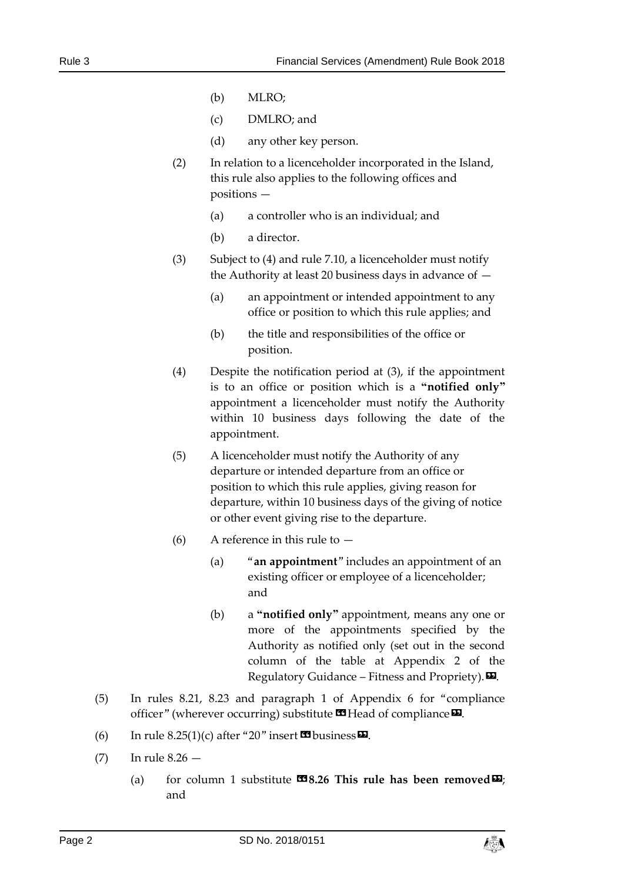- (b) MLRO;
- (c) DMLRO; and
- (d) any other key person.
- (2) In relation to a licenceholder incorporated in the Island, this rule also applies to the following offices and positions —
	- (a) a controller who is an individual; and
	- (b) a director.
- (3) Subject to (4) and rule 7.10, a licenceholder must notify the Authority at least 20 business days in advance of —
	- (a) an appointment or intended appointment to any office or position to which this rule applies; and
	- (b) the title and responsibilities of the office or position.
- (4) Despite the notification period at (3), if the appointment is to an office or position which is a **"notified only"** appointment a licenceholder must notify the Authority within 10 business days following the date of the appointment.
- (5) A licenceholder must notify the Authority of any departure or intended departure from an office or position to which this rule applies, giving reason for departure, within 10 business days of the giving of notice or other event giving rise to the departure.
- (6) A reference in this rule to  $-$ 
	- (a) "**an appointment**" includes an appointment of an existing officer or employee of a licenceholder; and
	- (b) a **"notified only"** appointment, means any one or more of the appointments specified by the Authority as notified only (set out in the second column of the table at Appendix 2 of the Regulatory Guidance – Fitness and Propriety). $\mathbf{E}$ .
- (5) In rules 8.21, 8.23 and paragraph 1 of Appendix 6 for "compliance officer" (wherever occurring) substitute  $\blacksquare$  Head of compliance  $\blacksquare$ .
- (6) In rule  $8.25(1)(c)$  after "20" insert **11** business  $\boldsymbol{\mathsf{E}}$ .
- (7) In rule 8.26
	- (a) for column 1 substitute  $\mathbf{\mathfrak{B}}8.26$  This rule has been removed  $\mathbf{\mathfrak{D}}$ ; and

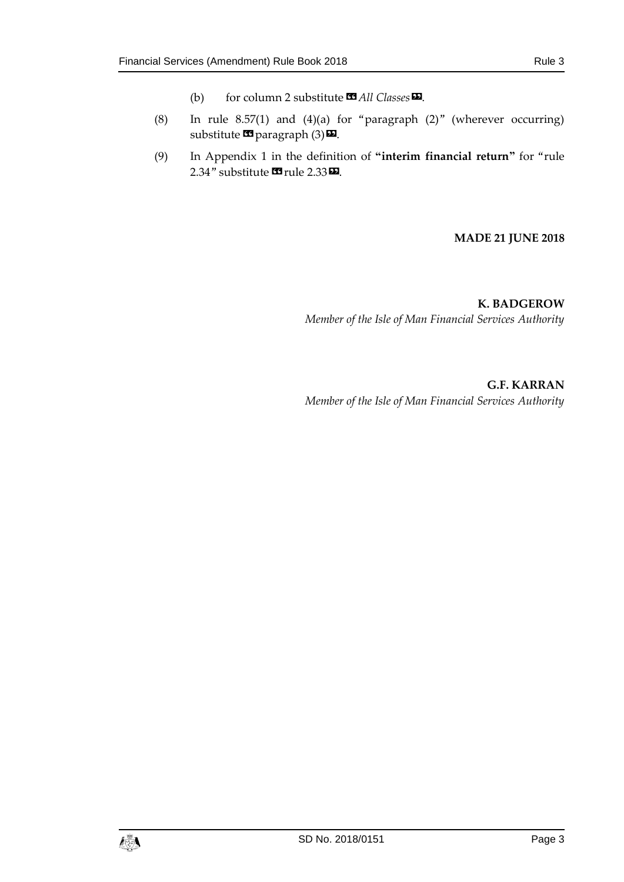- (b) for column 2 substitute **64** All Classes  $\Omega$ .
- (8) In rule 8.57(1) and (4)(a) for "paragraph (2)" (wherever occurring) substitute  $\mathbf{\Omega}$  paragraph (3) $\mathbf{\Omega}$ .
- (9) In Appendix 1 in the definition of **"interim financial return"** for "rule  $2.34$ " substitute  $\blacksquare$  rule  $2.33$  $\blacksquare$ .

## **MADE 21 JUNE 2018**

**K. BADGEROW** *Member of the Isle of Man Financial Services Authority*

**G.F. KARRAN** *Member of the Isle of Man Financial Services Authority*